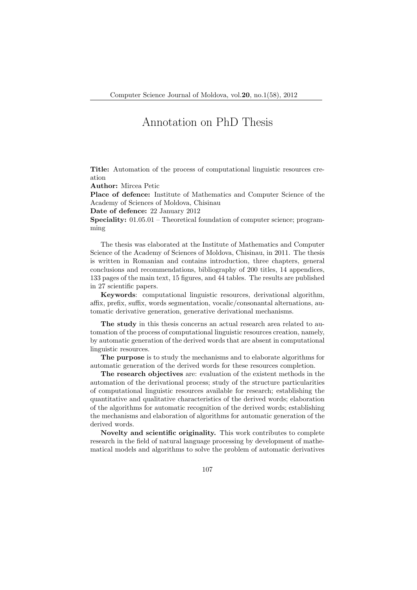## Annotation on PhD Thesis

Title: Automation of the process of computational linguistic resources creation

Author: Mircea Petic

Place of defence: Institute of Mathematics and Computer Science of the Academy of Sciences of Moldova, Chisinau

Date of defence: 22 January 2012

Speciality: 01.05.01 – Theoretical foundation of computer science; programming

The thesis was elaborated at the Institute of Mathematics and Computer Science of the Academy of Sciences of Moldova, Chisinau, in 2011. The thesis is written in Romanian and contains introduction, three chapters, general conclusions and recommendations, bibliography of 200 titles, 14 appendices, 133 pages of the main text, 15 figures, and 44 tables. The results are published in 27 scientific papers.

Keywords: computational linguistic resources, derivational algorithm, affix, prefix, suffix, words segmentation, vocalic/consonantal alternations, automatic derivative generation, generative derivational mechanisms.

The study in this thesis concerns an actual research area related to automation of the process of computational linguistic resources creation, namely, by automatic generation of the derived words that are absent in computational linguistic resources.

The purpose is to study the mechanisms and to elaborate algorithms for automatic generation of the derived words for these resources completion.

The research objectives are: evaluation of the existent methods in the automation of the derivational process; study of the structure particularities of computational linguistic resources available for research; establishing the quantitative and qualitative characteristics of the derived words; elaboration of the algorithms for automatic recognition of the derived words; establishing the mechanisms and elaboration of algorithms for automatic generation of the derived words.

Novelty and scientific originality. This work contributes to complete research in the field of natural language processing by development of mathematical models and algorithms to solve the problem of automatic derivatives

107